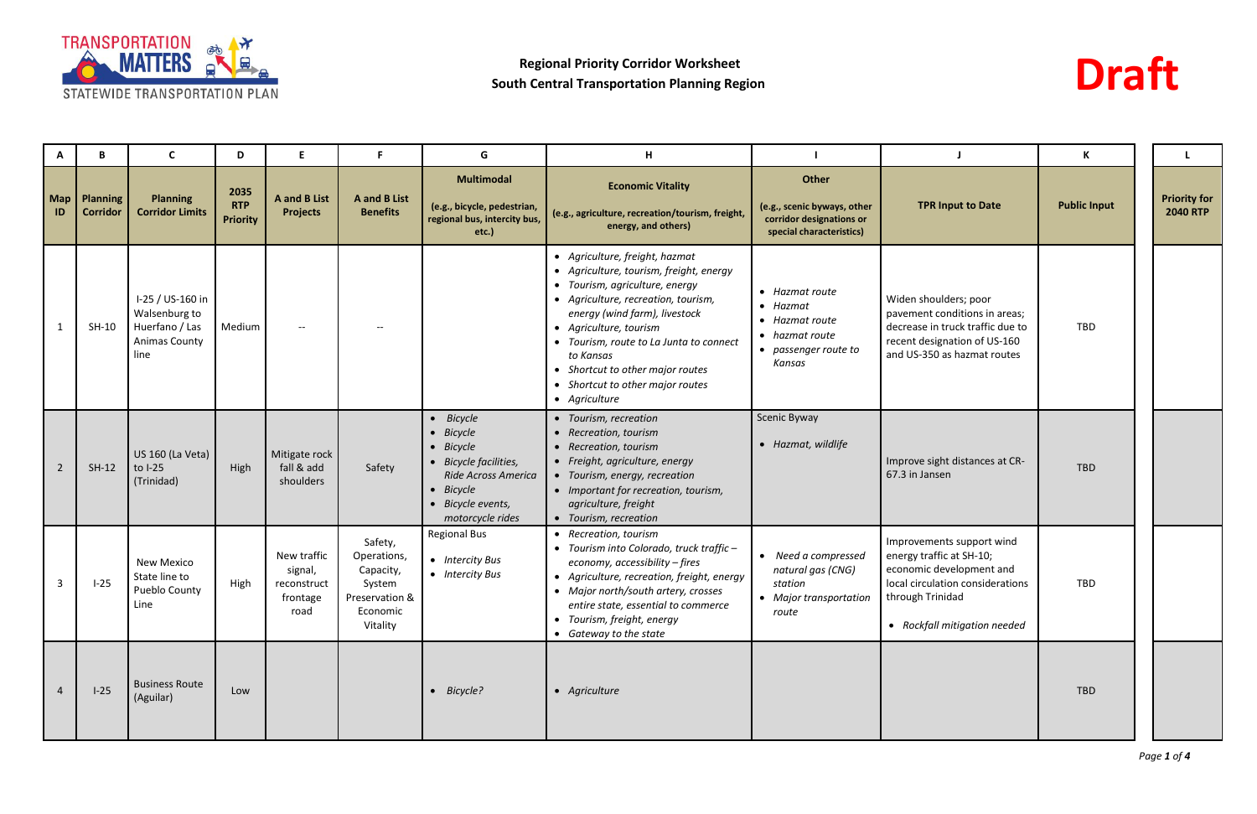



| A              | B                                 | C                                                                            | D                                     | Е                                                         |                                                                                         | G                                                                                                                                                         | H                                                                                                                                                                                                                                                                                                                                                            |                                                                                                          |                                                                                                                                                                           | К                   |                                        |
|----------------|-----------------------------------|------------------------------------------------------------------------------|---------------------------------------|-----------------------------------------------------------|-----------------------------------------------------------------------------------------|-----------------------------------------------------------------------------------------------------------------------------------------------------------|--------------------------------------------------------------------------------------------------------------------------------------------------------------------------------------------------------------------------------------------------------------------------------------------------------------------------------------------------------------|----------------------------------------------------------------------------------------------------------|---------------------------------------------------------------------------------------------------------------------------------------------------------------------------|---------------------|----------------------------------------|
| ID             | Map   Planning<br><b>Corridor</b> | <b>Planning</b><br><b>Corridor Limits</b>                                    | 2035<br><b>RTP</b><br><b>Priority</b> | <b>A</b> and <b>B</b> List<br><b>Projects</b>             | <b>A</b> and <b>B</b> List<br><b>Benefits</b>                                           | <b>Multimodal</b><br>(e.g., bicycle, pedestrian,<br>regional bus, intercity bus,<br>$etc.$ )                                                              | <b>Economic Vitality</b><br>(e.g., agriculture, recreation/tourism, freight,<br>energy, and others)                                                                                                                                                                                                                                                          | Other<br>(e.g., scenic byways, other<br>corridor designations or<br>special characteristics)             | <b>TPR Input to Date</b>                                                                                                                                                  | <b>Public Input</b> | <b>Priority for</b><br><b>2040 RTP</b> |
|                | $SH-10$                           | I-25 / US-160 in<br>Walsenburg to<br>Huerfano / Las<br>Animas County<br>line | Medium                                | $\overline{a}$                                            |                                                                                         |                                                                                                                                                           | • Agriculture, freight, hazmat<br>• Agriculture, tourism, freight, energy<br>• Tourism, agriculture, energy<br>• Agriculture, recreation, tourism,<br>energy (wind farm), livestock<br>• Agriculture, tourism<br>• Tourism, route to La Junta to connect<br>to Kansas<br>Shortcut to other major routes<br>• Shortcut to other major routes<br>• Agriculture | • Hazmat route<br>$\bullet$ Hazmat<br>• Hazmat route<br>• hazmat route<br>• passenger route to<br>Kansas | Widen shoulders; poor<br>pavement conditions in areas;<br>decrease in truck traffic due to<br>recent designation of US-160<br>and US-350 as hazmat routes                 | TBD                 |                                        |
| $\overline{2}$ | $SH-12$                           | US 160 (La Veta)<br>to I-25<br>(Trinidad)                                    | High                                  | Mitigate rock<br>fall & add<br>shoulders                  | Safety                                                                                  | $\bullet$ Bicycle<br>• Bicycle<br>$\bullet$ Bicycle<br>• Bicycle facilities,<br>Ride Across America<br>• Bicycle<br>• Bicycle events,<br>motorcycle rides | • Tourism, recreation<br>• Recreation, tourism<br>• Recreation, tourism<br>• Freight, agriculture, energy<br>• Tourism, energy, recreation<br>• Important for recreation, tourism,<br>agriculture, freight<br>• Tourism, recreation                                                                                                                          | Scenic Byway<br>• Hazmat, wildlife                                                                       | Improve sight distances at CR-<br>67.3 in Jansen                                                                                                                          | <b>TBD</b>          |                                        |
| 3              | $I-25$                            | <b>New Mexico</b><br>State line to<br><b>Pueblo County</b><br>Line           | High                                  | New traffic<br>signal,<br>reconstruct<br>frontage<br>road | Safety,<br>Operations,<br>Capacity,<br>System<br>Preservation &<br>Economic<br>Vitality | <b>Regional Bus</b><br>• Intercity Bus<br>• Intercity Bus                                                                                                 | • Recreation, tourism<br>• Tourism into Colorado, truck traffic -<br>economy, accessibility - fires<br>• Agriculture, recreation, freight, energy<br>• Major north/south artery, crosses<br>entire state, essential to commerce<br>• Tourism, freight, energy<br>• Gateway to the state                                                                      | • Need a compressed<br>natural gas (CNG)<br>station<br>• Major transportation<br>route                   | Improvements support wind<br>energy traffic at SH-10;<br>economic development and<br>local circulation considerations<br>through Trinidad<br>• Rockfall mitigation needed | TBD                 |                                        |
| $\overline{4}$ | $I-25$                            | <b>Business Route</b><br>(Aguilar)                                           | Low                                   |                                                           |                                                                                         | $\bullet$ Bicycle?                                                                                                                                        | • Agriculture                                                                                                                                                                                                                                                                                                                                                |                                                                                                          |                                                                                                                                                                           | TBD                 |                                        |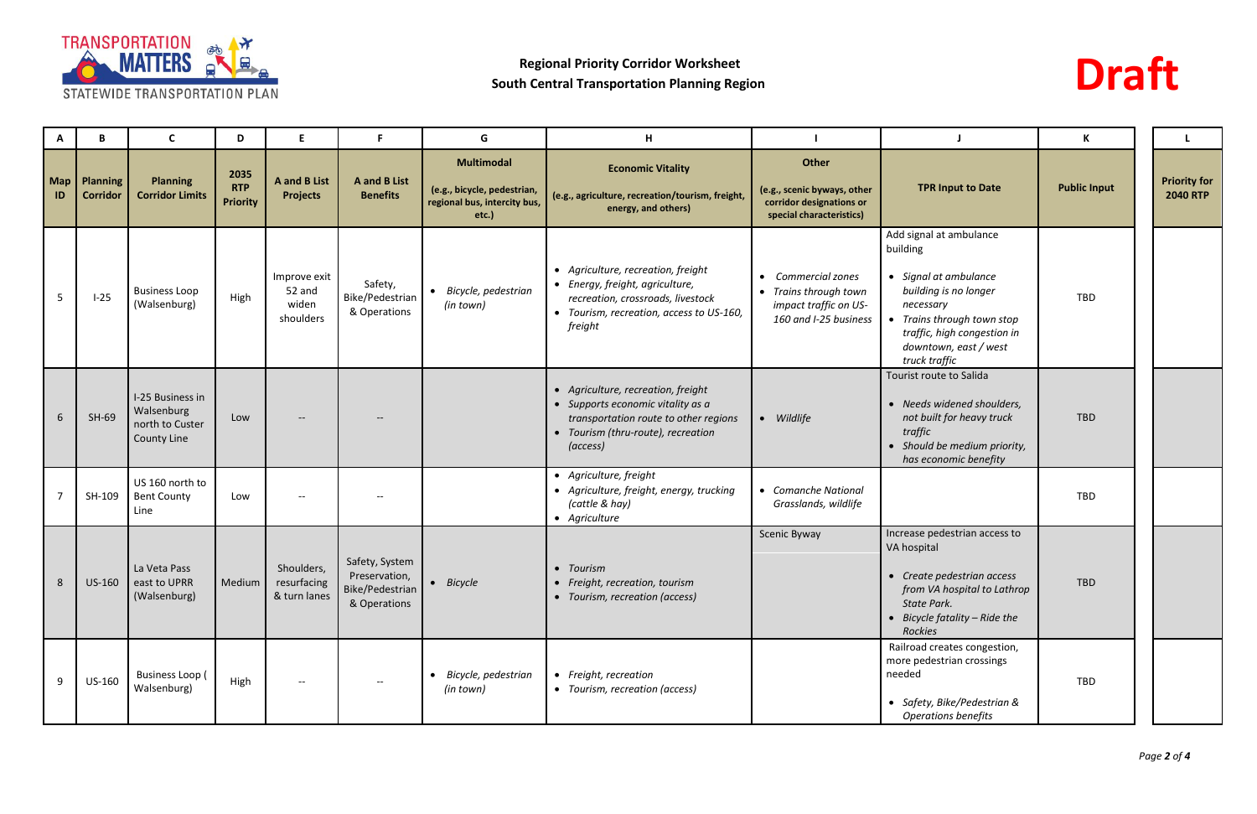



| A         | B                                  | C                                                                       | D                                     | E                                             |                                                                    | G                                                                                            | н                                                                                                                                                                  |                                                                                                               |                                                                                                                                                                                                         | К                   |                                        |
|-----------|------------------------------------|-------------------------------------------------------------------------|---------------------------------------|-----------------------------------------------|--------------------------------------------------------------------|----------------------------------------------------------------------------------------------|--------------------------------------------------------------------------------------------------------------------------------------------------------------------|---------------------------------------------------------------------------------------------------------------|---------------------------------------------------------------------------------------------------------------------------------------------------------------------------------------------------------|---------------------|----------------------------------------|
| Map<br>ID | <b>Planning</b><br><b>Corridor</b> | <b>Planning</b><br><b>Corridor Limits</b>                               | 2035<br><b>RTP</b><br><b>Priority</b> | <b>A</b> and <b>B</b> List<br><b>Projects</b> | <b>A</b> and <b>B</b> List<br><b>Benefits</b>                      | <b>Multimodal</b><br>(e.g., bicycle, pedestrian,<br>regional bus, intercity bus,<br>$etc.$ ) | <b>Economic Vitality</b><br>(e.g., agriculture, recreation/tourism, freight,<br>energy, and others)                                                                | Other<br>(e.g., scenic byways, other<br>corridor designations or<br>special characteristics)                  | <b>TPR Input to Date</b>                                                                                                                                                                                | <b>Public Input</b> | <b>Priority for</b><br><b>2040 RTP</b> |
| 5         | $I-25$                             | <b>Business Loop</b><br>(Walsenburg)                                    | High                                  | Improve exit<br>52 and<br>widen<br>shoulders  | Safety,<br>Bike/Pedestrian<br>& Operations                         | • Bicycle, pedestrian<br>(in town)                                                           | • Agriculture, recreation, freight<br>• Energy, freight, agriculture,<br>recreation, crossroads, livestock<br>• Tourism, recreation, access to US-160,<br>freight  | <b>Commercial zones</b><br>$\bullet$<br>Trains through town<br>impact traffic on US-<br>160 and I-25 business | Add signal at ambulance<br>building<br>Signal at ambulance<br>building is no longer<br>necessary<br>• Trains through town stop<br>traffic, high congestion in<br>downtown, east / west<br>truck traffic | TBD                 |                                        |
| 6         | $SH-69$                            | I-25 Business in<br>Walsenburg<br>north to Custer<br><b>County Line</b> | Low                                   |                                               |                                                                    |                                                                                              | • Agriculture, recreation, freight<br>• Supports economic vitality as a<br>transportation route to other regions<br>• Tourism (thru-route), recreation<br>(access) | Wildlife<br>$\bullet$                                                                                         | Tourist route to Salida<br>• Needs widened shoulders,<br>not built for heavy truck<br>traffic<br>Should be medium priority,<br>has economic benefity                                                    | <b>TBD</b>          |                                        |
|           | SH-109                             | US 160 north to<br><b>Bent County</b><br>Line                           | Low                                   |                                               |                                                                    |                                                                                              | • Agriculture, freight<br>• Agriculture, freight, energy, trucking<br>(cattle & hay)<br>• Agriculture                                                              | • Comanche National<br>Grasslands, wildlife                                                                   |                                                                                                                                                                                                         | TBD                 |                                        |
|           |                                    | La Veta Pass<br>8   US-160   east to UPRR<br>(Walsenburg)               | Medium                                | Shoulders,<br>resurfacing<br>& turn lanes     | Safety, System<br>Preservation,<br>Bike/Pedestrian<br>& Operations | Bicycle                                                                                      | Tourism<br>• Freight, recreation, tourism<br>• Tourism, recreation (access)                                                                                        | Scenic Byway                                                                                                  | Increase pedestrian access to<br>VA hospital<br>• Create pedestrian access<br>from VA hospital to Lathrop<br>State Park.<br>Bicycle fatality – Ride the<br>Rockies                                      | <b>TBD</b>          |                                        |
| 9         | US-160                             | <b>Business Loop (</b><br>Walsenburg)                                   | High                                  |                                               | $--$                                                               | Bicycle, pedestrian<br>(in town)                                                             | • Freight, recreation<br>• Tourism, recreation (access)                                                                                                            |                                                                                                               | Railroad creates congestion,<br>more pedestrian crossings<br>needed<br>• Safety, Bike/Pedestrian &<br>Operations benefits                                                                               | TBD                 |                                        |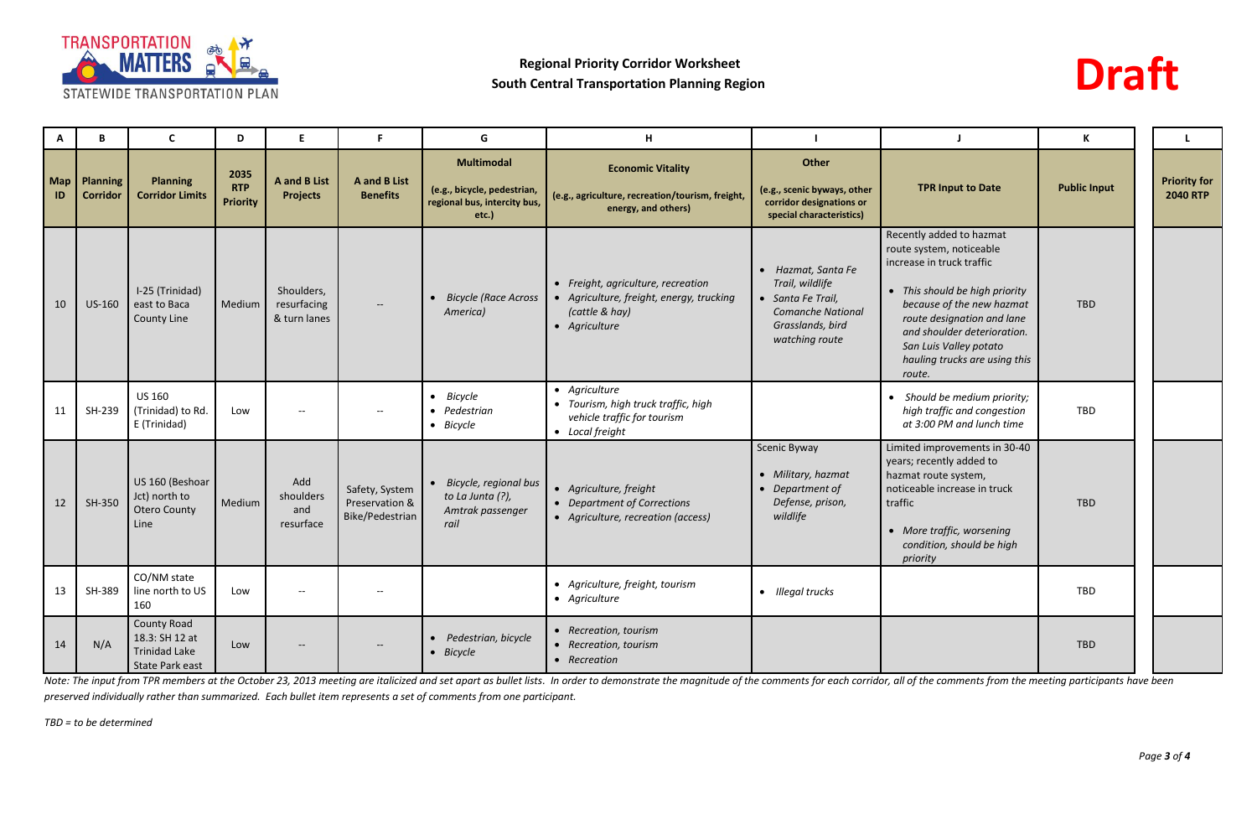



| A                | B                                  | C                                                                               | D                                     | E.                                            | F.                                                  | G                                                                                            | H                                                                                                                 |                                                                                                                              |                                                                                                                                                                                                                                                                                    | K                   | L.                                     |
|------------------|------------------------------------|---------------------------------------------------------------------------------|---------------------------------------|-----------------------------------------------|-----------------------------------------------------|----------------------------------------------------------------------------------------------|-------------------------------------------------------------------------------------------------------------------|------------------------------------------------------------------------------------------------------------------------------|------------------------------------------------------------------------------------------------------------------------------------------------------------------------------------------------------------------------------------------------------------------------------------|---------------------|----------------------------------------|
| <b>Map</b><br>ID | <b>Planning</b><br><b>Corridor</b> | <b>Planning</b><br><b>Corridor Limits</b>                                       | 2035<br><b>RTP</b><br><b>Priority</b> | <b>A</b> and <b>B</b> List<br><b>Projects</b> | <b>A</b> and <b>B</b> List<br><b>Benefits</b>       | <b>Multimodal</b><br>(e.g., bicycle, pedestrian,<br>regional bus, intercity bus,<br>$etc.$ ) | <b>Economic Vitality</b><br>(e.g., agriculture, recreation/tourism, freight,<br>energy, and others)               | Other<br>(e.g., scenic byways, other<br>corridor designations or<br>special characteristics)                                 | <b>TPR Input to Date</b>                                                                                                                                                                                                                                                           | <b>Public Input</b> | <b>Priority for</b><br><b>2040 RTP</b> |
| 10               | US-160                             | I-25 (Trinidad)<br>east to Baca<br><b>County Line</b>                           | Medium                                | Shoulders,<br>resurfacing<br>& turn lanes     |                                                     | Bicycle (Race Across<br>$\bullet$<br>America)                                                | • Freight, agriculture, recreation<br>• Agriculture, freight, energy, trucking<br>(cattle & hay)<br>• Agriculture | • Hazmat, Santa Fe<br>Trail, wildlife<br>• Santa Fe Trail,<br><b>Comanche National</b><br>Grasslands, bird<br>watching route | Recently added to hazmat<br>route system, noticeable<br>increase in truck traffic<br>• This should be high priority<br>because of the new hazmat<br>route designation and lane<br>and shoulder deterioration.<br>San Luis Valley potato<br>hauling trucks are using this<br>route. | TBD                 |                                        |
| 11               | SH-239                             | <b>US 160</b><br>(Trinidad) to Rd.<br>E (Trinidad)                              | Low                                   | $\overline{\phantom{a}}$                      | $-$                                                 | $\bullet$ Bicycle<br>• Pedestrian<br>• Bicycle                                               | • Agriculture<br>• Tourism, high truck traffic, high<br>vehicle traffic for tourism<br>• Local freight            |                                                                                                                              | Should be medium priority;<br>$\bullet$<br>high traffic and congestion<br>at 3:00 PM and lunch time                                                                                                                                                                                | TBD                 |                                        |
| 12               | SH-350                             | US 160 (Beshoar<br>Jct) north to<br><b>Otero County</b><br>Line                 | Medium                                | Add<br>shoulders<br>and<br>resurface          | Safety, System<br>Preservation &<br>Bike/Pedestrian | • Bicycle, regional bus<br>to La Junta (?),<br>Amtrak passenger<br>rail                      | • Agriculture, freight<br>• Department of Corrections<br>• Agriculture, recreation (access)                       | <b>Scenic Byway</b><br>• Military, hazmat<br>• Department of<br>Defense, prison,<br>wildlife                                 | Limited improvements in 30-40<br>years; recently added to<br>hazmat route system,<br>noticeable increase in truck<br>traffic<br>• More traffic, worsening<br>condition, should be high<br>priority                                                                                 | <b>TBD</b>          |                                        |
| 13               | SH-389                             | CO/NM state<br>line north to US<br>160                                          | Low                                   | $--$                                          | $--$                                                |                                                                                              | • Agriculture, freight, tourism<br>• Agriculture                                                                  | • Illegal trucks                                                                                                             |                                                                                                                                                                                                                                                                                    | TBD                 |                                        |
| 14               | N/A                                | <b>County Road</b><br>18.3: SH 12 at<br><b>Trinidad Lake</b><br>State Park east | Low                                   | $\hspace{0.05cm} \textbf{--}$                 | $\sim$                                              | • Pedestrian, bicycle<br>• Bicycle                                                           | • Recreation, tourism<br>• Recreation, tourism<br>• Recreation                                                    |                                                                                                                              |                                                                                                                                                                                                                                                                                    | TBD                 |                                        |

Note: The input from TPR members at the October 23, 2013 meeting are italicized and set apart as bullet lists. In order to demonstrate the magnitude of the comments for each corridor, all of the comments from the meeting p *preserved individually rather than summarized. Each bullet item represents a set of comments from one participant.*

*TBD = to be determined*